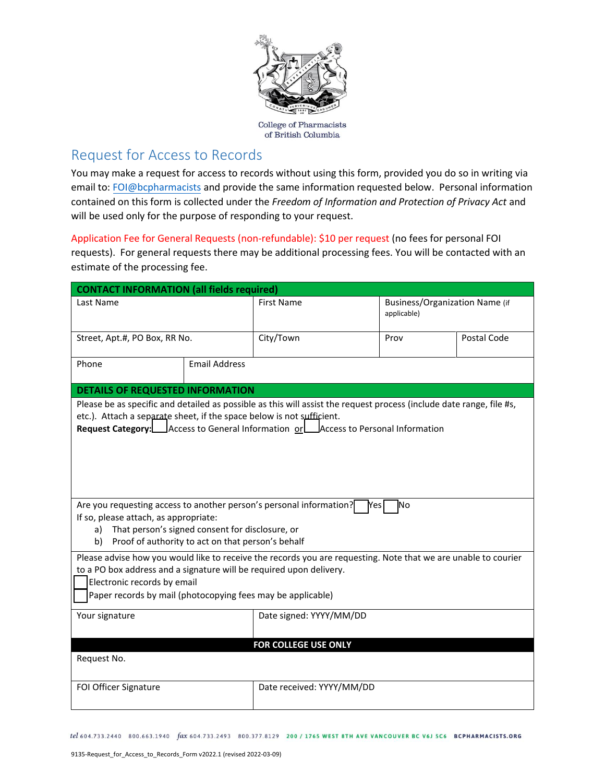

of British Columbia

## Request for Access to Records

You may make a request for access to records without using this form, provided you do so in writing via email to: [FOI@bcpharmacists](mailto:FOI@bcpharmacists) and provide the same information requested below. Personal information contained on this form is collected under the *Freedom of Information and Protection of Privacy Act* and will be used only for the purpose of responding to your request.

Application Fee for General Requests (non-refundable): \$10 per request (no fees for personal FOI requests). For general requests there may be additional processing fees. You will be contacted with an estimate of the processing fee.

| <b>CONTACT INFORMATION (all fields required)</b>                                                                                                                                                                                                                                                                                                                                                                                                                                                                                              |                      |                                                                                                                                                                                                                  |                                               |             |  |  |
|-----------------------------------------------------------------------------------------------------------------------------------------------------------------------------------------------------------------------------------------------------------------------------------------------------------------------------------------------------------------------------------------------------------------------------------------------------------------------------------------------------------------------------------------------|----------------------|------------------------------------------------------------------------------------------------------------------------------------------------------------------------------------------------------------------|-----------------------------------------------|-------------|--|--|
| Last Name                                                                                                                                                                                                                                                                                                                                                                                                                                                                                                                                     |                      | <b>First Name</b>                                                                                                                                                                                                | Business/Organization Name (if<br>applicable) |             |  |  |
| Street, Apt.#, PO Box, RR No.                                                                                                                                                                                                                                                                                                                                                                                                                                                                                                                 |                      | City/Town                                                                                                                                                                                                        | Prov                                          | Postal Code |  |  |
| Phone                                                                                                                                                                                                                                                                                                                                                                                                                                                                                                                                         | <b>Email Address</b> |                                                                                                                                                                                                                  |                                               |             |  |  |
| <b>DETAILS OF REQUESTED INFORMATION</b>                                                                                                                                                                                                                                                                                                                                                                                                                                                                                                       |                      |                                                                                                                                                                                                                  |                                               |             |  |  |
| etc.). Attach a separate sheet, if the space below is not sufficient.                                                                                                                                                                                                                                                                                                                                                                                                                                                                         |                      | Please be as specific and detailed as possible as this will assist the request process (include date range, file #s,<br><b>Request Category:</b> Access to General Information or Access to Personal Information |                                               |             |  |  |
| Are you requesting access to another person's personal information?<br><b>INo</b><br>Mesl<br>If so, please attach, as appropriate:<br>That person's signed consent for disclosure, or<br>a)<br>Proof of authority to act on that person's behalf<br>b)<br>Please advise how you would like to receive the records you are requesting. Note that we are unable to courier<br>to a PO box address and a signature will be required upon delivery.<br>Electronic records by email<br>Paper records by mail (photocopying fees may be applicable) |                      |                                                                                                                                                                                                                  |                                               |             |  |  |
| Your signature                                                                                                                                                                                                                                                                                                                                                                                                                                                                                                                                |                      | Date signed: YYYY/MM/DD                                                                                                                                                                                          |                                               |             |  |  |
| Request No.                                                                                                                                                                                                                                                                                                                                                                                                                                                                                                                                   |                      | FOR COLLEGE USE ONLY                                                                                                                                                                                             |                                               |             |  |  |
| FOI Officer Signature                                                                                                                                                                                                                                                                                                                                                                                                                                                                                                                         |                      | Date received: YYYY/MM/DD                                                                                                                                                                                        |                                               |             |  |  |